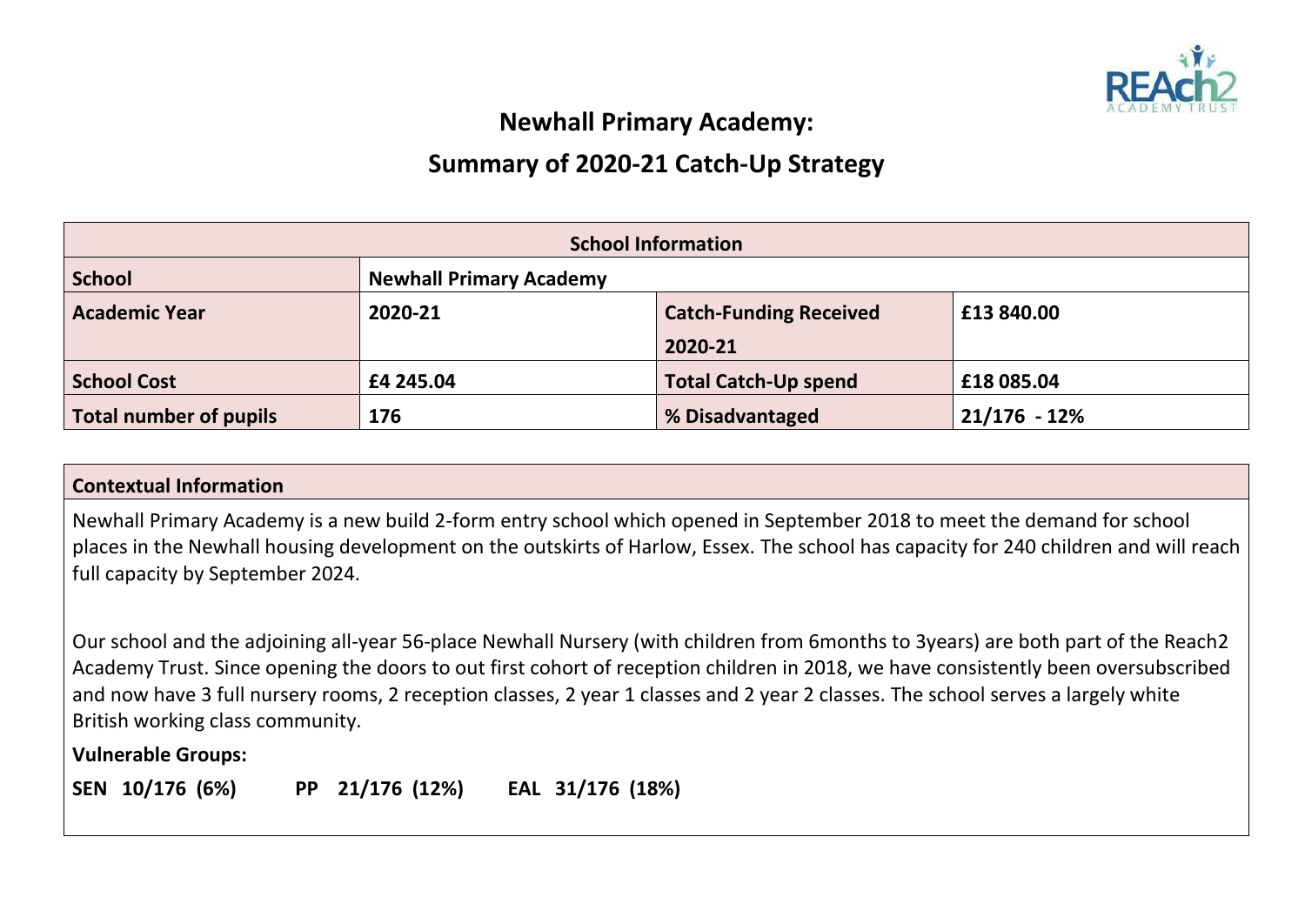

## **Newhall Primary Academy:**

## **Summary of 2020-21 Catch-Up Strategy**

| <b>School Information</b>     |                                                        |                             |                |  |  |  |  |
|-------------------------------|--------------------------------------------------------|-----------------------------|----------------|--|--|--|--|
| <b>School</b>                 | <b>Newhall Primary Academy</b>                         |                             |                |  |  |  |  |
| <b>Academic Year</b>          | £13 840.00<br>2020-21<br><b>Catch-Funding Received</b> |                             |                |  |  |  |  |
|                               |                                                        | 2020-21                     |                |  |  |  |  |
| <b>School Cost</b>            | £4 245.04                                              | <b>Total Catch-Up spend</b> | £18 085.04     |  |  |  |  |
| <b>Total number of pupils</b> | 176                                                    | % Disadvantaged             | $21/176 - 12%$ |  |  |  |  |

## **Contextual Information**

Newhall Primary Academy is a new build 2-form entry school which opened in September 2018 to meet the demand for school places in the Newhall housing development on the outskirts of Harlow, Essex. The school has capacity for 240 children and will reach full capacity by September 2024.

Our school and the adjoining all-year 56-place Newhall Nursery (with children from 6months to 3years) are both part of the Reach2 Academy Trust. Since opening the doors to out first cohort of reception children in 2018, we have consistently been oversubscribed and now have 3 full nursery rooms, 2 reception classes, 2 year 1 classes and 2 year 2 classes. The school serves a largely white British working class community.

**Vulnerable Groups:**

**SEN 10/176 (6%) PP 21/176 (12%) EAL 31/176 (18%)**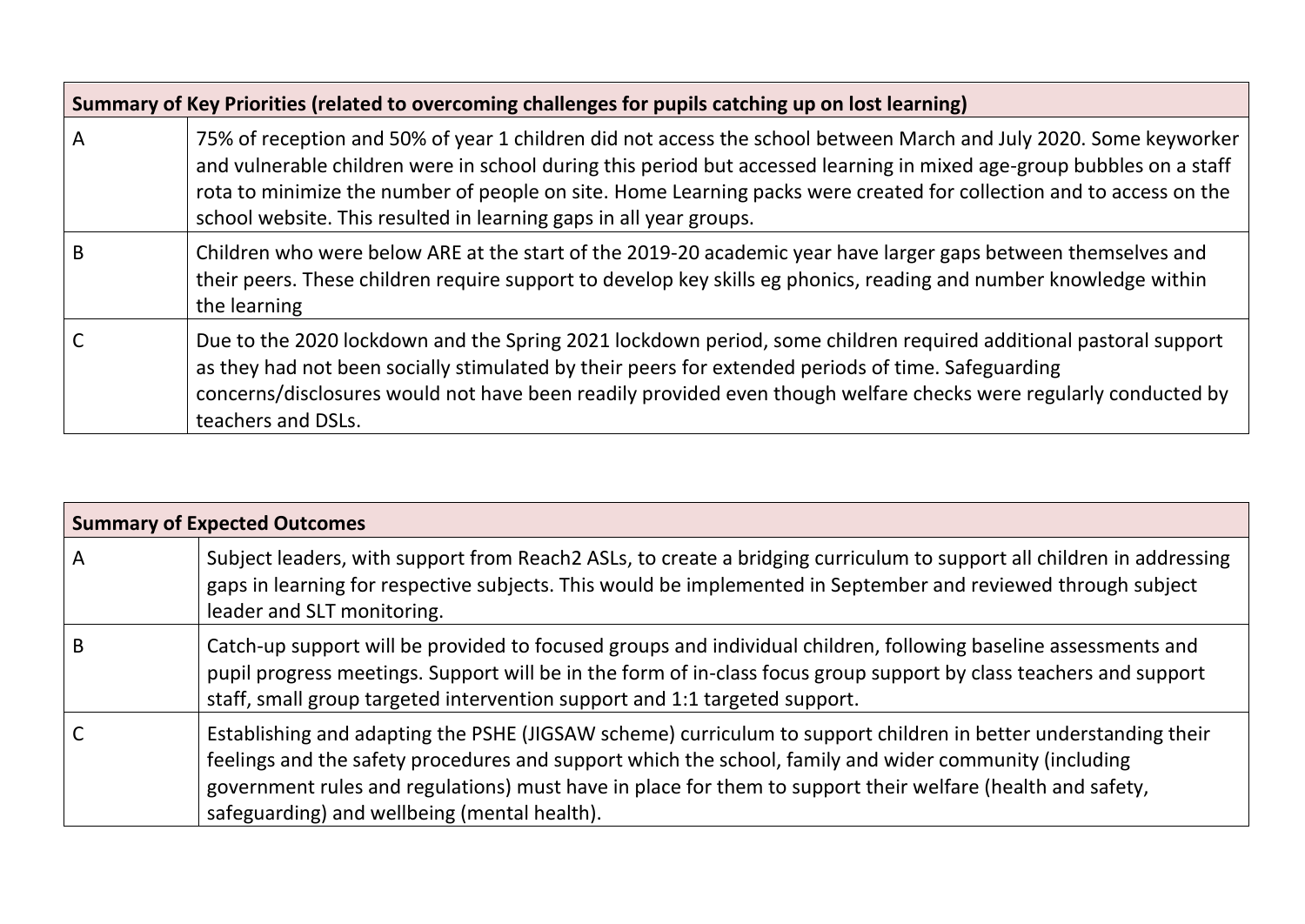|   | Summary of Key Priorities (related to overcoming challenges for pupils catching up on lost learning)                                                                                                                                                                                                                                                                                                                                    |
|---|-----------------------------------------------------------------------------------------------------------------------------------------------------------------------------------------------------------------------------------------------------------------------------------------------------------------------------------------------------------------------------------------------------------------------------------------|
| A | 75% of reception and 50% of year 1 children did not access the school between March and July 2020. Some keyworker<br>and vulnerable children were in school during this period but accessed learning in mixed age-group bubbles on a staff<br>rota to minimize the number of people on site. Home Learning packs were created for collection and to access on the<br>school website. This resulted in learning gaps in all year groups. |
| B | Children who were below ARE at the start of the 2019-20 academic year have larger gaps between themselves and<br>their peers. These children require support to develop key skills eg phonics, reading and number knowledge within<br>the learning                                                                                                                                                                                      |
|   | Due to the 2020 lockdown and the Spring 2021 lockdown period, some children required additional pastoral support<br>as they had not been socially stimulated by their peers for extended periods of time. Safeguarding<br>concerns/disclosures would not have been readily provided even though welfare checks were regularly conducted by<br>teachers and DSLs.                                                                        |

|                | <b>Summary of Expected Outcomes</b>                                                                                                                                                                                                                                                                                                                                                     |
|----------------|-----------------------------------------------------------------------------------------------------------------------------------------------------------------------------------------------------------------------------------------------------------------------------------------------------------------------------------------------------------------------------------------|
| $\overline{A}$ | Subject leaders, with support from Reach2 ASLs, to create a bridging curriculum to support all children in addressing<br>gaps in learning for respective subjects. This would be implemented in September and reviewed through subject<br>leader and SLT monitoring.                                                                                                                    |
| B              | Catch-up support will be provided to focused groups and individual children, following baseline assessments and<br>pupil progress meetings. Support will be in the form of in-class focus group support by class teachers and support<br>staff, small group targeted intervention support and 1:1 targeted support.                                                                     |
|                | Establishing and adapting the PSHE (JIGSAW scheme) curriculum to support children in better understanding their<br>feelings and the safety procedures and support which the school, family and wider community (including<br>government rules and regulations) must have in place for them to support their welfare (health and safety,<br>safeguarding) and wellbeing (mental health). |

**The Contract of the Contract of the Contract of the Contract of the Contract of the Contract of the Contract of the Contract of the Contract of the Contract of the Contract of the Contract of the Contract of the Contract**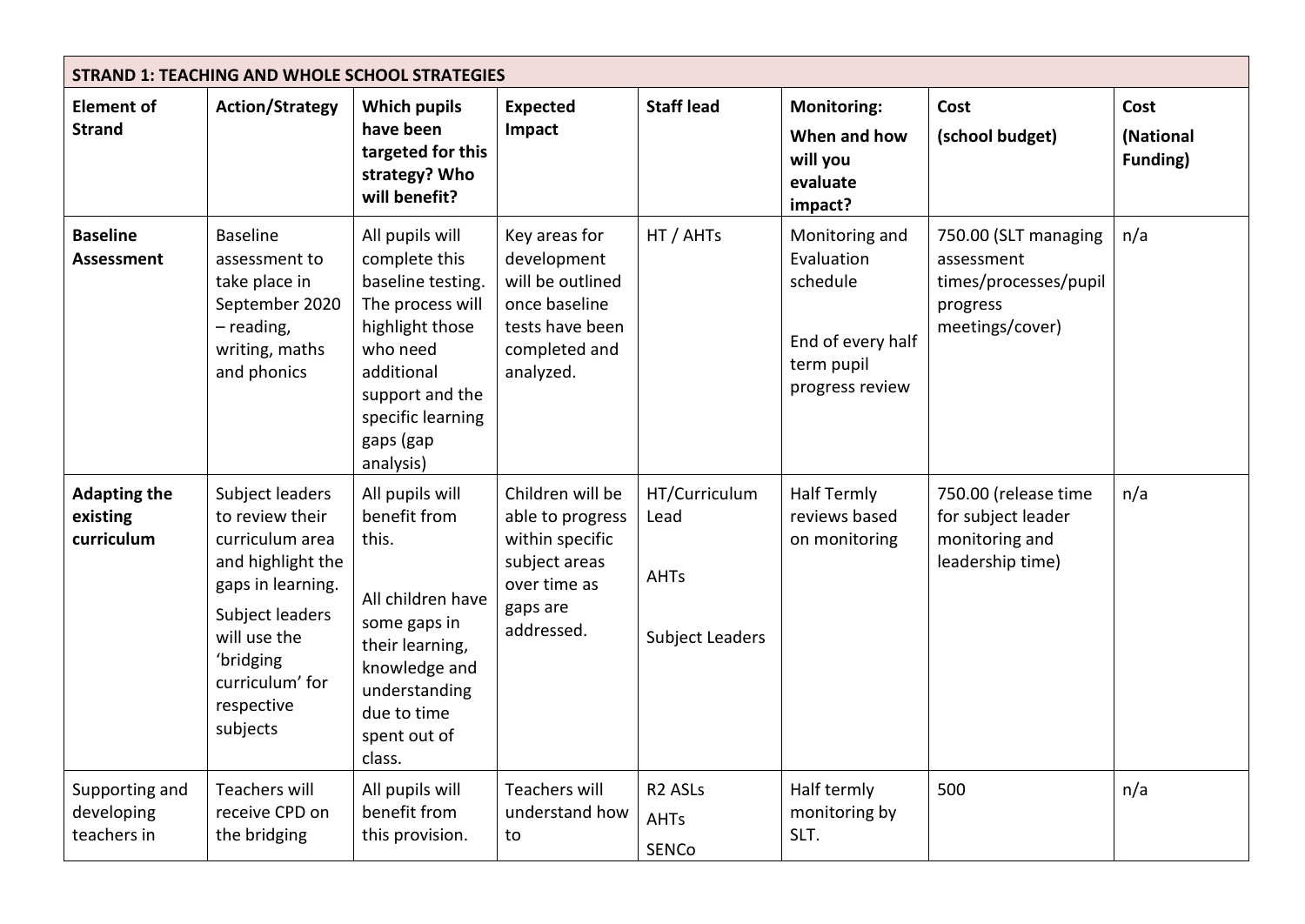| <b>STRAND 1: TEACHING AND WHOLE SCHOOL STRATEGIES</b> |                                                                                                                                                                                              |                                                                                                                                                                                          |                                                                                                                    |                                                                |                                                                                                |                                                                                            |                               |  |  |
|-------------------------------------------------------|----------------------------------------------------------------------------------------------------------------------------------------------------------------------------------------------|------------------------------------------------------------------------------------------------------------------------------------------------------------------------------------------|--------------------------------------------------------------------------------------------------------------------|----------------------------------------------------------------|------------------------------------------------------------------------------------------------|--------------------------------------------------------------------------------------------|-------------------------------|--|--|
| <b>Element of</b><br><b>Strand</b>                    | <b>Action/Strategy</b>                                                                                                                                                                       | <b>Which pupils</b><br>have been<br>targeted for this<br>strategy? Who<br>will benefit?                                                                                                  | <b>Expected</b><br>Impact                                                                                          | <b>Staff lead</b>                                              | <b>Monitoring:</b><br>When and how<br>will you<br>evaluate<br>impact?                          | Cost<br>(school budget)                                                                    | Cost<br>(National<br>Funding) |  |  |
| <b>Baseline</b><br>Assessment                         | <b>Baseline</b><br>assessment to<br>take place in<br>September 2020<br>$-$ reading,<br>writing, maths<br>and phonics                                                                         | All pupils will<br>complete this<br>baseline testing.<br>The process will<br>highlight those<br>who need<br>additional<br>support and the<br>specific learning<br>gaps (gap<br>analysis) | Key areas for<br>development<br>will be outlined<br>once baseline<br>tests have been<br>completed and<br>analyzed. | HT / AHTs                                                      | Monitoring and<br>Evaluation<br>schedule<br>End of every half<br>term pupil<br>progress review | 750.00 (SLT managing<br>assessment<br>times/processes/pupil<br>progress<br>meetings/cover) | n/a                           |  |  |
| <b>Adapting the</b><br>existing<br>curriculum         | Subject leaders<br>to review their<br>curriculum area<br>and highlight the<br>gaps in learning.<br>Subject leaders<br>will use the<br>'bridging<br>curriculum' for<br>respective<br>subjects | All pupils will<br>benefit from<br>this.<br>All children have<br>some gaps in<br>their learning,<br>knowledge and<br>understanding<br>due to time<br>spent out of<br>class.              | Children will be<br>able to progress<br>within specific<br>subject areas<br>over time as<br>gaps are<br>addressed. | HT/Curriculum<br>Lead<br><b>AHTs</b><br><b>Subject Leaders</b> | <b>Half Termly</b><br>reviews based<br>on monitoring                                           | 750.00 (release time<br>for subject leader<br>monitoring and<br>leadership time)           | n/a                           |  |  |
| Supporting and<br>developing<br>teachers in           | <b>Teachers will</b><br>receive CPD on<br>the bridging                                                                                                                                       | All pupils will<br>benefit from<br>this provision.                                                                                                                                       | <b>Teachers will</b><br>understand how<br>to                                                                       | R <sub>2</sub> ASL <sub>s</sub><br><b>AHTs</b><br><b>SENCo</b> | Half termly<br>monitoring by<br>SLT.                                                           | 500                                                                                        | n/a                           |  |  |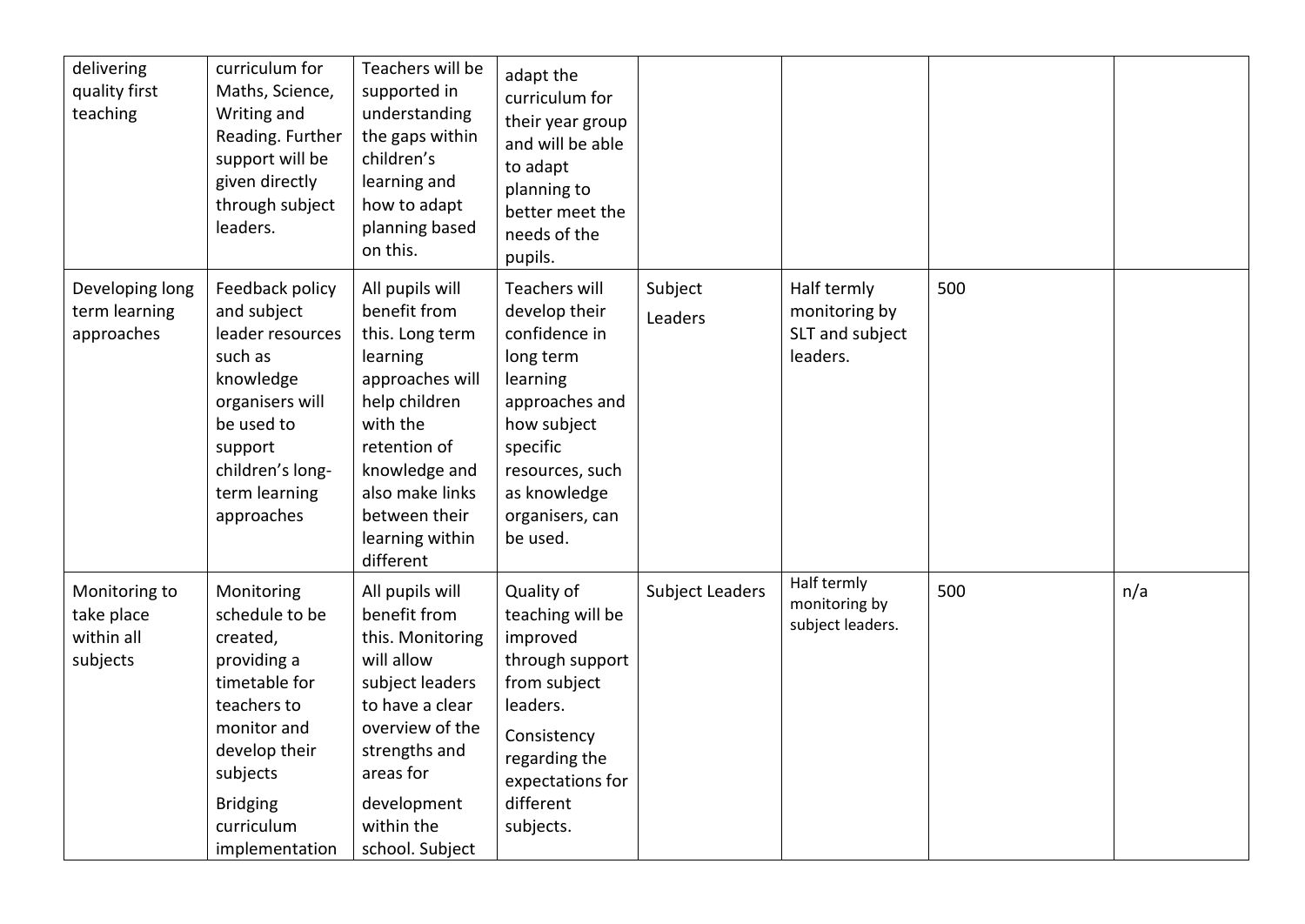| delivering<br>quality first<br>teaching               | curriculum for<br>Maths, Science,<br>Writing and<br>Reading. Further<br>support will be<br>given directly<br>through subject<br>leaders.                                               | Teachers will be<br>supported in<br>understanding<br>the gaps within<br>children's<br>learning and<br>how to adapt<br>planning based<br>on this.                                                                    | adapt the<br>curriculum for<br>their year group<br>and will be able<br>to adapt<br>planning to<br>better meet the<br>needs of the<br>pupils.                                            |                        |                                                             |     |     |
|-------------------------------------------------------|----------------------------------------------------------------------------------------------------------------------------------------------------------------------------------------|---------------------------------------------------------------------------------------------------------------------------------------------------------------------------------------------------------------------|-----------------------------------------------------------------------------------------------------------------------------------------------------------------------------------------|------------------------|-------------------------------------------------------------|-----|-----|
| Developing long<br>term learning<br>approaches        | Feedback policy<br>and subject<br>leader resources<br>such as<br>knowledge<br>organisers will<br>be used to<br>support<br>children's long-<br>term learning<br>approaches              | All pupils will<br>benefit from<br>this. Long term<br>learning<br>approaches will<br>help children<br>with the<br>retention of<br>knowledge and<br>also make links<br>between their<br>learning within<br>different | Teachers will<br>develop their<br>confidence in<br>long term<br>learning<br>approaches and<br>how subject<br>specific<br>resources, such<br>as knowledge<br>organisers, can<br>be used. | Subject<br>Leaders     | Half termly<br>monitoring by<br>SLT and subject<br>leaders. | 500 |     |
| Monitoring to<br>take place<br>within all<br>subjects | Monitoring<br>schedule to be<br>created,<br>providing a<br>timetable for<br>teachers to<br>monitor and<br>develop their<br>subjects<br><b>Bridging</b><br>curriculum<br>implementation | All pupils will<br>benefit from<br>this. Monitoring<br>will allow<br>subject leaders<br>to have a clear<br>overview of the<br>strengths and<br>areas for<br>development<br>within the<br>school. Subject            | Quality of<br>teaching will be<br>improved<br>through support<br>from subject<br>leaders.<br>Consistency<br>regarding the<br>expectations for<br>different<br>subjects.                 | <b>Subject Leaders</b> | Half termly<br>monitoring by<br>subject leaders.            | 500 | n/a |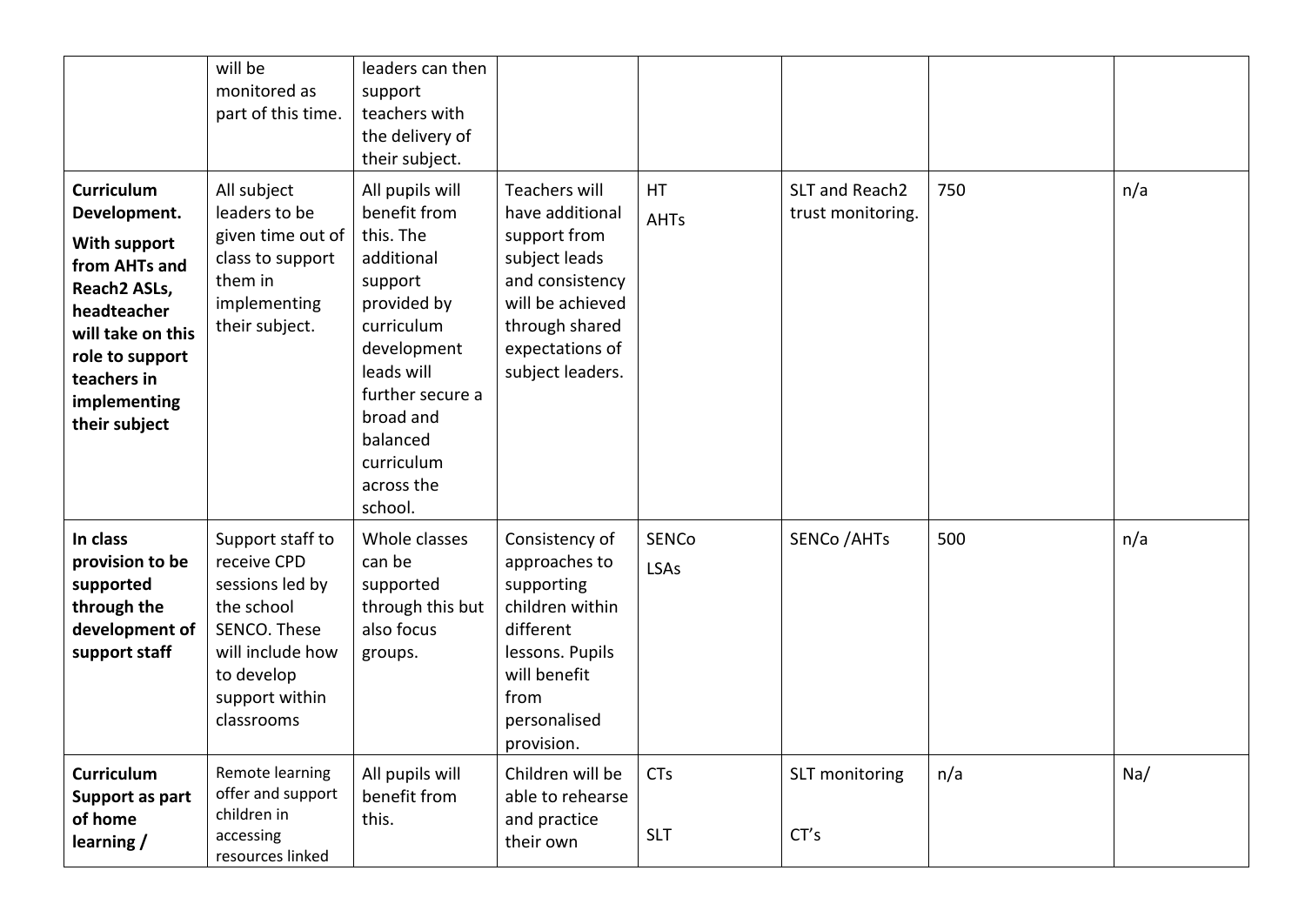|                                                                                                                                                                                           | will be<br>monitored as<br>part of this time.                                                                                                      | leaders can then<br>support<br>teachers with<br>the delivery of<br>their subject.                                                                                                                                   |                                                                                                                                                                   |                          |                                     |     |     |
|-------------------------------------------------------------------------------------------------------------------------------------------------------------------------------------------|----------------------------------------------------------------------------------------------------------------------------------------------------|---------------------------------------------------------------------------------------------------------------------------------------------------------------------------------------------------------------------|-------------------------------------------------------------------------------------------------------------------------------------------------------------------|--------------------------|-------------------------------------|-----|-----|
| <b>Curriculum</b><br>Development.<br>With support<br>from AHTs and<br>Reach2 ASLs,<br>headteacher<br>will take on this<br>role to support<br>teachers in<br>implementing<br>their subject | All subject<br>leaders to be<br>given time out of<br>class to support<br>them in<br>implementing<br>their subject.                                 | All pupils will<br>benefit from<br>this. The<br>additional<br>support<br>provided by<br>curriculum<br>development<br>leads will<br>further secure a<br>broad and<br>balanced<br>curriculum<br>across the<br>school. | Teachers will<br>have additional<br>support from<br>subject leads<br>and consistency<br>will be achieved<br>through shared<br>expectations of<br>subject leaders. | <b>HT</b><br><b>AHTs</b> | SLT and Reach2<br>trust monitoring. | 750 | n/a |
| In class<br>provision to be<br>supported<br>through the<br>development of<br>support staff                                                                                                | Support staff to<br>receive CPD<br>sessions led by<br>the school<br>SENCO. These<br>will include how<br>to develop<br>support within<br>classrooms | Whole classes<br>can be<br>supported<br>through this but<br>also focus<br>groups.                                                                                                                                   | Consistency of<br>approaches to<br>supporting<br>children within<br>different<br>lessons. Pupils<br>will benefit<br>from<br>personalised<br>provision.            | <b>SENCo</b><br>LSAs     | <b>SENCo / AHTs</b>                 | 500 | n/a |
| <b>Curriculum</b><br>Support as part<br>of home<br>learning /                                                                                                                             | Remote learning<br>offer and support<br>children in<br>accessing<br>resources linked                                                               | All pupils will<br>benefit from<br>this.                                                                                                                                                                            | Children will be<br>able to rehearse<br>and practice<br>their own                                                                                                 | <b>CTs</b><br><b>SLT</b> | SLT monitoring<br>CT's              | n/a | Na/ |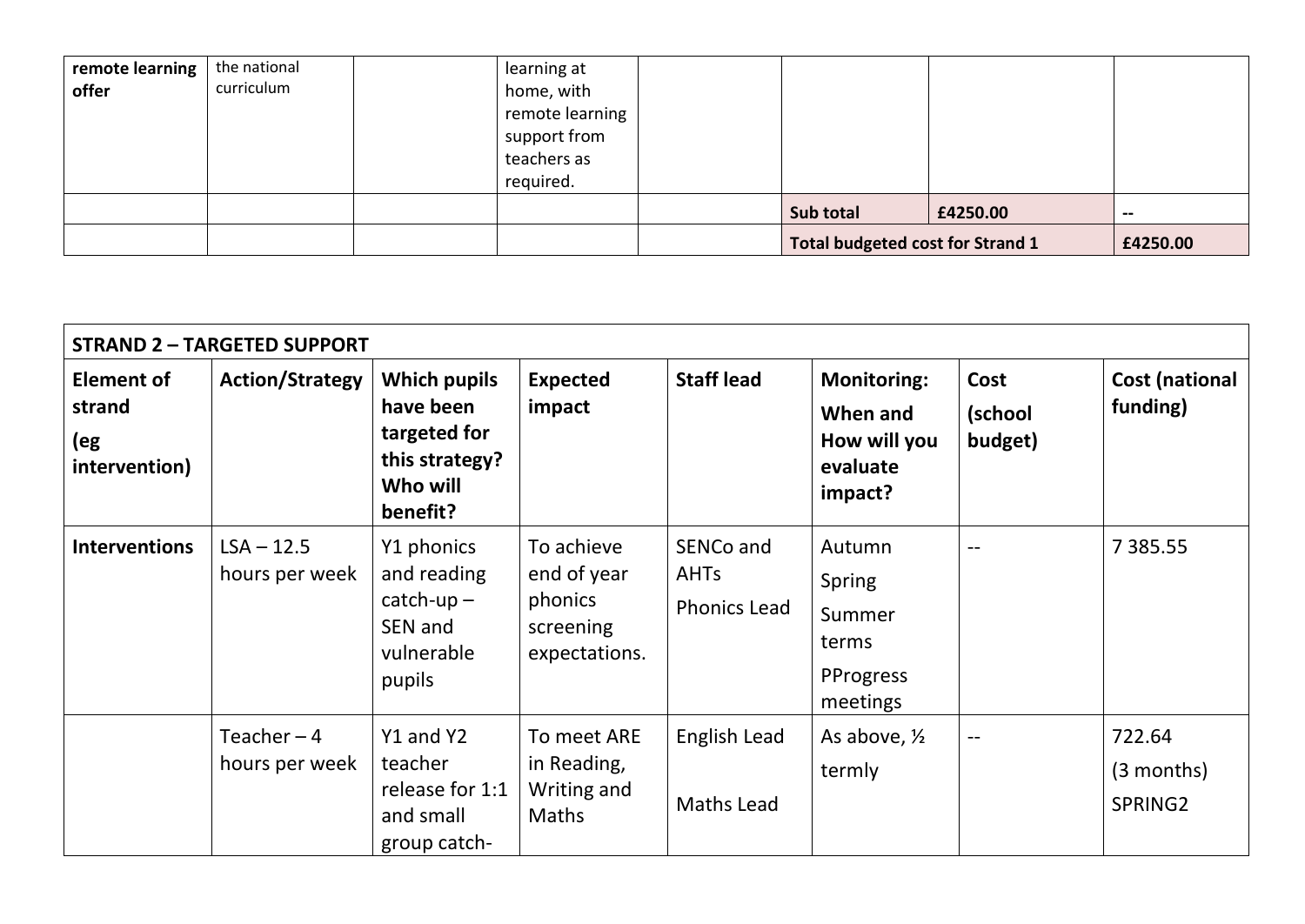| remote learning<br>offer | the national<br>curriculum | learning at<br>home, with<br>remote learning<br>support from<br>teachers as<br>required. |                                         |          |               |
|--------------------------|----------------------------|------------------------------------------------------------------------------------------|-----------------------------------------|----------|---------------|
|                          |                            |                                                                                          | Sub total                               | £4250.00 | $\sim$ $\sim$ |
|                          |                            |                                                                                          | <b>Total budgeted cost for Strand 1</b> |          | £4250.00      |

| <b>STRAND 2 - TARGETED SUPPORT</b>                  |                                |                                                                                            |                                                                    |                                                 |                                                                       |                            |                                   |  |  |
|-----------------------------------------------------|--------------------------------|--------------------------------------------------------------------------------------------|--------------------------------------------------------------------|-------------------------------------------------|-----------------------------------------------------------------------|----------------------------|-----------------------------------|--|--|
| <b>Element of</b><br>strand<br>(eg<br>intervention) | <b>Action/Strategy</b>         | <b>Which pupils</b><br>have been<br>targeted for<br>this strategy?<br>Who will<br>benefit? | <b>Expected</b><br>impact                                          | <b>Staff lead</b>                               | <b>Monitoring:</b><br>When and<br>How will you<br>evaluate<br>impact? | Cost<br>(school<br>budget) | <b>Cost (national</b><br>funding) |  |  |
| <b>Interventions</b>                                | $LSA - 12.5$<br>hours per week | Y1 phonics<br>and reading<br>$catch-up -$<br>SEN and<br>vulnerable<br>pupils               | To achieve<br>end of year<br>phonics<br>screening<br>expectations. | SENCo and<br><b>AHTs</b><br><b>Phonics Lead</b> | Autumn<br>Spring<br>Summer<br>terms<br>PProgress<br>meetings          |                            | 7 3 8 5 . 5 5                     |  |  |
|                                                     | Teacher $-4$<br>hours per week | Y1 and Y2<br>teacher<br>release for 1:1<br>and small<br>group catch-                       | To meet ARE<br>in Reading,<br>Writing and<br>Maths                 | English Lead<br>Maths Lead                      | As above, $\frac{1}{2}$<br>termly                                     | $\overline{\phantom{a}}$   | 722.64<br>$(3$ months)<br>SPRING2 |  |  |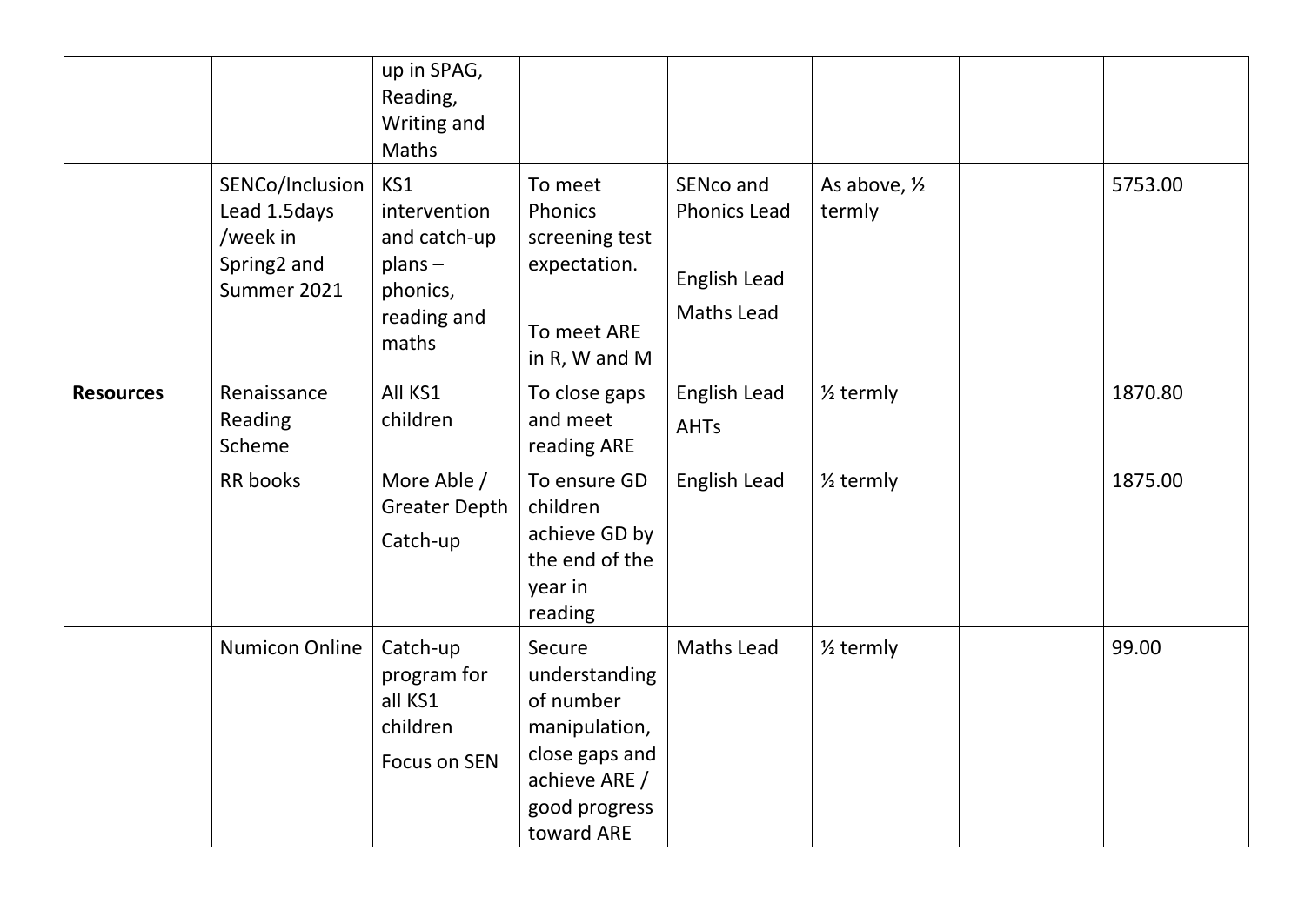|                  |                                                                           | up in SPAG,<br>Reading,<br>Writing and<br>Maths                                      |                                                                                                                         |                                                                       |                         |         |
|------------------|---------------------------------------------------------------------------|--------------------------------------------------------------------------------------|-------------------------------------------------------------------------------------------------------------------------|-----------------------------------------------------------------------|-------------------------|---------|
|                  | SENCo/Inclusion<br>Lead 1.5days<br>/week in<br>Spring2 and<br>Summer 2021 | KS1<br>intervention<br>and catch-up<br>$planS -$<br>phonics,<br>reading and<br>maths | To meet<br>Phonics<br>screening test<br>expectation.<br>To meet ARE<br>in R, W and M                                    | SENco and<br><b>Phonics Lead</b><br>English Lead<br><b>Maths Lead</b> | As above, 1/2<br>termly | 5753.00 |
| <b>Resources</b> | Renaissance<br>Reading<br>Scheme                                          | All KS1<br>children                                                                  | To close gaps<br>and meet<br>reading ARE                                                                                | English Lead<br><b>AHTs</b>                                           | $\frac{1}{2}$ termly    | 1870.80 |
|                  | <b>RR</b> books                                                           | More Able /<br><b>Greater Depth</b><br>Catch-up                                      | To ensure GD<br>children<br>achieve GD by<br>the end of the<br>year in<br>reading                                       | English Lead                                                          | $\frac{1}{2}$ termly    | 1875.00 |
|                  | <b>Numicon Online</b>                                                     | Catch-up<br>program for<br>all KS1<br>children<br><b>Focus on SEN</b>                | Secure<br>understanding<br>of number<br>manipulation,<br>close gaps and<br>achieve ARE /<br>good progress<br>toward ARE | Maths Lead                                                            | $\frac{1}{2}$ termly    | 99.00   |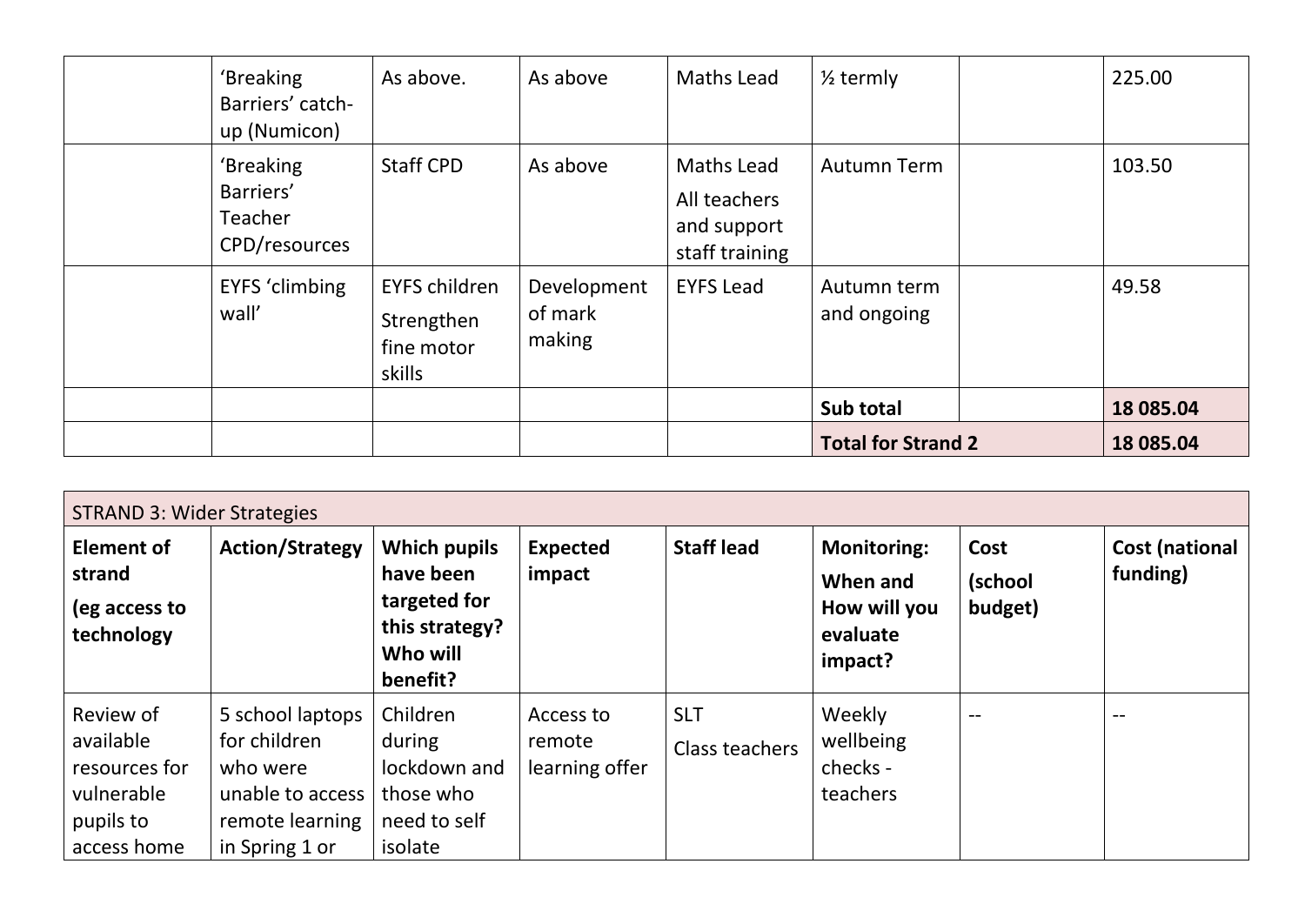| 'Breaking<br>Barriers' catch-<br>up (Numicon)      | As above.                                                  | As above                         | <b>Maths Lead</b>                                                  | $\frac{1}{2}$ termly       | 225.00    |
|----------------------------------------------------|------------------------------------------------------------|----------------------------------|--------------------------------------------------------------------|----------------------------|-----------|
| 'Breaking<br>Barriers'<br>Teacher<br>CPD/resources | <b>Staff CPD</b>                                           | As above                         | <b>Maths Lead</b><br>All teachers<br>and support<br>staff training | <b>Autumn Term</b>         | 103.50    |
| <b>EYFS 'climbing</b><br>wall'                     | <b>EYFS children</b><br>Strengthen<br>fine motor<br>skills | Development<br>of mark<br>making | <b>EYFS Lead</b>                                                   | Autumn term<br>and ongoing | 49.58     |
|                                                    |                                                            |                                  |                                                                    | Sub total                  | 18 085.04 |
|                                                    |                                                            |                                  |                                                                    | <b>Total for Strand 2</b>  | 18 085.04 |

| <b>STRAND 3: Wider Strategies</b>                                                 |                                                                                                       |                                                                                            |                                       |                                     |                                                                       |                            |                                   |  |  |
|-----------------------------------------------------------------------------------|-------------------------------------------------------------------------------------------------------|--------------------------------------------------------------------------------------------|---------------------------------------|-------------------------------------|-----------------------------------------------------------------------|----------------------------|-----------------------------------|--|--|
| <b>Element of</b><br>strand<br>(eg access to<br>technology                        | <b>Action/Strategy</b>                                                                                | <b>Which pupils</b><br>have been<br>targeted for<br>this strategy?<br>Who will<br>benefit? | <b>Expected</b><br>impact             | <b>Staff lead</b>                   | <b>Monitoring:</b><br>When and<br>How will you<br>evaluate<br>impact? | Cost<br>(school<br>budget) | <b>Cost (national</b><br>funding) |  |  |
| Review of<br>available<br>resources for<br>vulnerable<br>pupils to<br>access home | 5 school laptops<br>for children<br>who were<br>unable to access<br>remote learning<br>in Spring 1 or | Children<br>during<br>lockdown and<br>those who<br>need to self<br>isolate                 | Access to<br>remote<br>learning offer | <b>SLT</b><br><b>Class teachers</b> | Weekly<br>wellbeing<br>checks -<br>teachers                           | $- -$                      | $- -$                             |  |  |